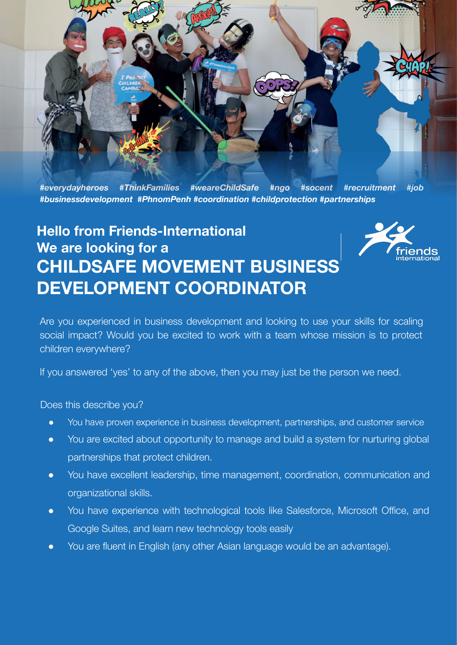

*#everydayheroes #ThinkFamilies #weareChildSafe #ngo #socent #recruitment #job #businessdevelopment #PhnomPenh #coordination #childprotection #partnerships*

## **Hello from Friends-International We are looking for a CHILDSAFE MOVEMENT BUSINESS DEVELOPMENT COORDINATOR**



Are you experienced in business development and looking to use your skills for scaling social impact? Would you be excited to work with a team whose mission is to protect children everywhere?

If you answered 'yes' to any of the above, then you may just be the person we need.

Does this describe you?

- You have proven experience in business development, partnerships, and customer service
- You are excited about opportunity to manage and build a system for nurturing global partnerships that protect children.
- You have excellent leadership, time management, coordination, communication and organizational skills.
- You have experience with technological tools like Salesforce, Microsoft Office, and Google Suites, and learn new technology tools easily
- You are fluent in English (any other Asian language would be an advantage).